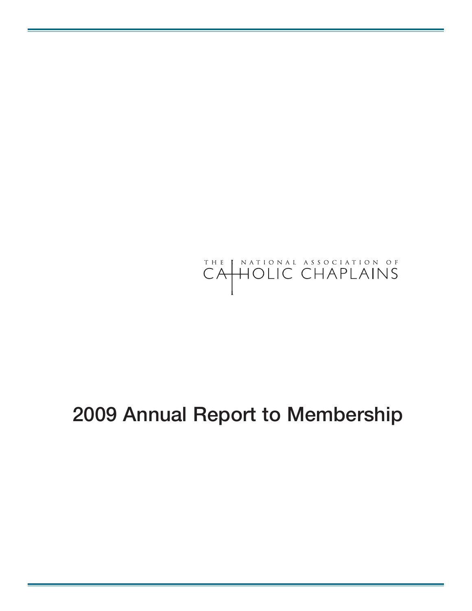

## **Annual Report to Membership**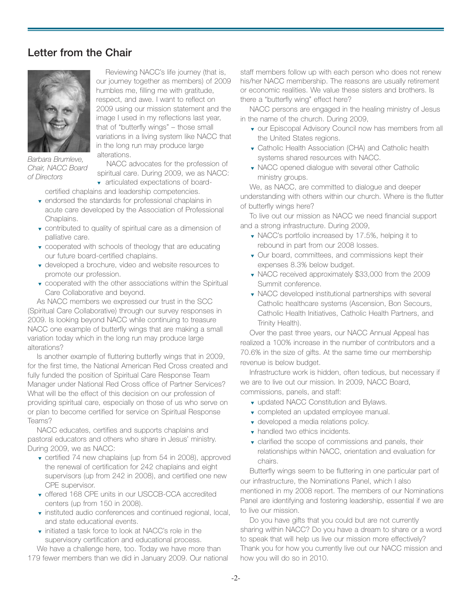## **Letter from the Chair**



*Barbara Brumleve, Chair, NACC Board of Directors*

Reviewing NACC's life journey (that is, our journey together as members) of 2009 humbles me, filling me with gratitude, respect, and awe. I want to reflect on 2009 using our mission statement and the image I used in my reflections last year, that of "butterfly wings" – those small variations in a living system like NACC that in the long run may produce large alterations.

NACC advocates for the profession of spiritual care. During 2009, we as NACC:

▼ articulated expectations of boardcertified chaplains and leadership competencies.

- ▼ endorsed the standards for professional chaplains in acute care developed by the Association of Professional Chaplains.
- ▼ contributed to quality of spiritual care as a dimension of palliative care.
- ▼ cooperated with schools of theology that are educating our future board-certified chaplains.
- ▼ developed a brochure, video and website resources to promote our profession.
- ▼ cooperated with the other associations within the Spiritual Care Collaborative and beyond.

As NACC members we expressed our trust in the SCC (Spiritual Care Collaborative) through our survey responses in 2009. Is looking beyond NACC while continuing to treasure NACC one example of butterfly wings that are making a small variation today which in the long run may produce large alterations?

Is another example of fluttering butterfly wings that in 2009, for the first time, the National American Red Cross created and fully funded the position of Spiritual Care Response Team Manager under National Red Cross office of Partner Services? What will be the effect of this decision on our profession of providing spiritual care, especially on those of us who serve on or plan to become certified for service on Spiritual Response Teams?

NACC educates, certifies and supports chaplains and pastoral educators and others who share in Jesus' ministry. During 2009, we as NACC:

- ▼ certified 74 new chaplains (up from 54 in 2008), approved the renewal of certification for 242 chaplains and eight supervisors (up from 242 in 2008), and certified one new CPE supervisor.
- ▼ offered 168 CPE units in our USCCB-CCA accredited centers (up from 150 in 2008).
- ▼ instituted audio conferences and continued regional, local, and state educational events.
- ▼ initiated a task force to look at NACC's role in the supervisory certification and educational process.

We have a challenge here, too. Today we have more than 179 fewer members than we did in January 2009. Our national

staff members follow up with each person who does not renew his/her NACC membership. The reasons are usually retirement or economic realities. We value these sisters and brothers. Is there a "butterfly wing" effect here?

NACC persons are engaged in the healing ministry of Jesus in the name of the church. During 2009,

- ▼ our Episcopal Advisory Council now has members from all the United States regions.
- ▼ Catholic Health Association (CHA) and Catholic health systems shared resources with NACC.
- ▼ NACC opened dialogue with several other Catholic ministry groups.

We, as NACC, are committed to dialogue and deeper understanding with others within our church. Where is the flutter of butterfly wings here?

To live out our mission as NACC we need financial support and a strong infrastructure. During 2009,

- ▼ NACC's portfolio increased by 17.5%, helping it to rebound in part from our 2008 losses.
- ▼ Our board, committees, and commissions kept their expenses 8.3% below budget.
- ▼ NACC received approximately \$33,000 from the 2009 Summit conference.
- ▼ NACC developed institutional partnerships with several Catholic healthcare systems (Ascension, Bon Secours, Catholic Health Initiatives, Catholic Health Partners, and Trinity Health).

Over the past three years, our NACC Annual Appeal has realized a 100% increase in the number of contributors and a 70.6% in the size of gifts. At the same time our membership revenue is below budget.

Infrastructure work is hidden, often tedious, but necessary if we are to live out our mission. In 2009, NACC Board, commissions, panels, and staff:

- ▼ updated NACC Constitution and Bylaws.
- ▼ completed an updated employee manual.
- ▼ developed a media relations policy.
- ▼ handled two ethics incidents.
- ▼ clarified the scope of commissions and panels, their relationships within NACC, orientation and evaluation for chairs.

Butterfly wings seem to be fluttering in one particular part of our infrastructure, the Nominations Panel, which I also mentioned in my 2008 report. The members of our Nominations Panel are identifying and fostering leadership, essential if we are to live our mission.

Do you have gifts that you could but are not currently sharing within NACC? Do you have a dream to share or a word to speak that will help us live our mission more effectively? Thank you for how you currently live out our NACC mission and how you will do so in 2010.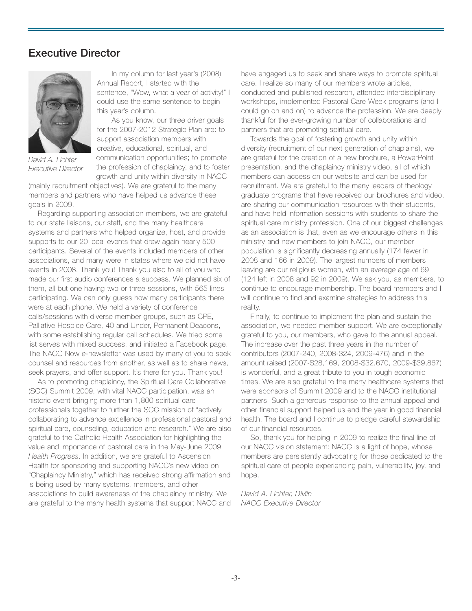### **Executive Director**



*David A. Lichter Executive Director*

In my column for last year's (2008) Annual Report, I started with the sentence, "Wow, what a year of activity!" I could use the same sentence to begin this year's column.

As you know, our three driver goals for the 2007-2012 Strategic Plan are: to support association members with creative, educational, spiritual, and communication opportunities; to promote the profession of chaplaincy, and to foster growth and unity within diversity in NACC

(mainly recruitment objectives). We are grateful to the many members and partners who have helped us advance these goals in 2009.

Regarding supporting association members, we are grateful to our state liaisons, our staff, and the many healthcare systems and partners who helped organize, host, and provide supports to our 20 local events that drew again nearly 500 participants. Several of the events included members of other associations, and many were in states where we did not have events in 2008. Thank you! Thank you also to all of you who made our first audio conferences a success. We planned six of them, all but one having two or three sessions, with 565 lines participating. We can only guess how many participants there were at each phone. We held a variety of conference calls/sessions with diverse member groups, such as CPE, Palliative Hospice Care, 40 and Under, Permanent Deacons, with some establishing regular call schedules. We tried some list serves with mixed success, and initiated a Facebook page. The NACC Now e-newsletter was used by many of you to seek counsel and resources from another, as well as to share news, seek prayers, and offer support. It's there for you. Thank you!

As to promoting chaplaincy, the Spiritual Care Collaborative (SCC) Summit 2009, with vital NACC participation, was an historic event bringing more than 1,800 spiritual care professionals together to further the SCC mission of "actively collaborating to advance excellence in professional pastoral and spiritual care, counseling, education and research." We are also grateful to the Catholic Health Association for highlighting the value and importance of pastoral care in the May-June 2009 *Health Progress*. In addition, we are grateful to Ascension Health for sponsoring and supporting NACC's new video on "Chaplaincy Ministry," which has received strong affirmation and is being used by many systems, members, and other associations to build awareness of the chaplaincy ministry. We are grateful to the many health systems that support NACC and

have engaged us to seek and share ways to promote spiritual care. I realize so many of our members wrote articles, conducted and published research, attended interdisciplinary workshops, implemented Pastoral Care Week programs (and I could go on and on) to advance the profession. We are deeply thankful for the ever-growing number of collaborations and partners that are promoting spiritual care.

Towards the goal of fostering growth and unity within diversity (recruitment of our next generation of chaplains), we are grateful for the creation of a new brochure, a PowerPoint presentation, and the chaplaincy ministry video, all of which members can access on our website and can be used for recruitment. We are grateful to the many leaders of theology graduate programs that have received our brochures and video, are sharing our communication resources with their students, and have held information sessions with students to share the spiritual care ministry profession. One of our biggest challenges as an association is that, even as we encourage others in this ministry and new members to join NACC, our member population is significantly decreasing annually (174 fewer in 2008 and 166 in 2009). The largest numbers of members leaving are our religious women, with an average age of 69 (124 left in 2008 and 92 in 2009). We ask you, as members, to continue to encourage membership. The board members and I will continue to find and examine strategies to address this reality.

Finally, to continue to implement the plan and sustain the association, we needed member support. We are exceptionally grateful to you, our members, who gave to the annual appeal. The increase over the past three years in the number of contributors (2007-240, 2008-324, 2009-476) and in the amount raised (2007-\$28,169, 2008-\$32,670, 2009-\$39,867) is wonderful, and a great tribute to you in tough economic times. We are also grateful to the many healthcare systems that were sponsors of Summit 2009 and to the NACC institutional partners. Such a generous response to the annual appeal and other financial support helped us end the year in good financial health. The board and I continue to pledge careful stewardship of our financial resources.

So, thank you for helping in 2009 to realize the final line of our NACC vision statement: NACC is a light of hope, whose members are persistently advocating for those dedicated to the spiritual care of people experiencing pain, vulnerability, joy, and hope.

*David A. Lichter, DMin NACC Executive Director*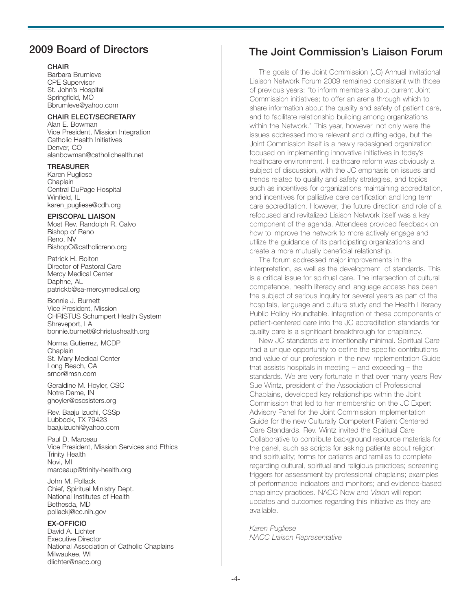## **2009 Board of Directors**

#### **CHAIR**

Barbara Brumleve CPE Supervisor St. John's Hospital Springfield, MO Bbrumleve@yahoo.com

#### **CHAIR ELECT/SECRETARY**

Alan E. Bowman Vice President, Mission Integration Catholic Health Initiatives Denver, CO alanbowman@catholichealth.net

#### **TREASURER**

Karen Pugliese **Chaplain** Central DuPage Hospital Winfield, IL karen\_pugliese@cdh.org

#### **EPISCOPAL LIAISON**

Most Rev. Randolph R. Calvo Bishop of Reno Reno, NV BishopC@catholicreno.org

Patrick H. Bolton Director of Pastoral Care Mercy Medical Center Daphne, AL patrickb@sa-mercymedical.org

Bonnie J. Burnett Vice President, Mission CHRISTUS Schumpert Health System Shreveport, LA bonnie.burnett@christushealth.org

Norma Gutierrez, MCDP **Chaplain** St. Mary Medical Center Long Beach, CA srnor@msn.com

Geraldine M. Hoyler, CSC Notre Dame, IN ghoyler@cscsisters.org

Rev. Baaju Izuchi, CSSp Lubbock, TX 79423 baajuizuchi@yahoo.com

Paul D. Marceau Vice President, Mission Services and Ethics Trinity Health Novi, MI marceaup@trinity-health.org

John M. Pollack Chief, Spiritual Ministry Dept. National Institutes of Health Bethesda, MD pollackj@cc.nih.gov

#### **EX-OFFICIO**

David A. Lichter Executive Director National Association of Catholic Chaplains Milwaukee, WI dlichter@nacc.org

## **The Joint Commission's Liaison Forum**

The goals of the Joint Commission (JC) Annual Invitational Liaison Network Forum 2009 remained consistent with those of previous years: "to inform members about current Joint Commission initiatives; to offer an arena through which to share information about the quality and safety of patient care, and to facilitate relationship building among organizations within the Network." This year, however, not only were the issues addressed more relevant and cutting edge, but the Joint Commission itself is a newly redesigned organization focused on implementing innovative initiatives in today's healthcare environment. Healthcare reform was obviously a subject of discussion, with the JC emphasis on issues and trends related to quality and safety strategies, and topics such as incentives for organizations maintaining accreditation, and incentives for palliative care certification and long term care accreditation. However, the future direction and role of a refocused and revitalized Liaison Network itself was a key component of the agenda. Attendees provided feedback on how to improve the network to more actively engage and utilize the guidance of its participating organizations and create a more mutually beneficial relationship.

The forum addressed major improvements in the interpretation, as well as the development, of standards. This is a critical issue for spiritual care. The intersection of cultural competence, health literacy and language access has been the subject of serious inquiry for several years as part of the hospitals, language and culture study and the Health Literacy Public Policy Roundtable. Integration of these components of patient-centered care into the JC accreditation standards for quality care is a significant breakthrough for chaplaincy.

New JC standards are intentionally minimal. Spiritual Care had a unique opportunity to define the specific contributions and value of our profession in the new Implementation Guide that assists hospitals in meeting – and exceeding – the standards. We are very fortunate in that over many years Rev. Sue Wintz, president of the Association of Professional Chaplains, developed key relationships within the Joint Commission that led to her membership on the JC Expert Advisory Panel for the Joint Commission Implementation Guide for the new Culturally Competent Patient Centered Care Standards. Rev. Wintz invited the Spiritual Care Collaborative to contribute background resource materials for the panel, such as scripts for asking patients about religion and spirituality; forms for patients and families to complete regarding cultural, spiritual and religious practices; screening triggers for assessment by professional chaplains; examples of performance indicators and monitors; and evidence-based chaplaincy practices. NACC Now and *Vision* will report updates and outcomes regarding this initiative as they are available.

*Karen Pugliese NACC Liaison Representative*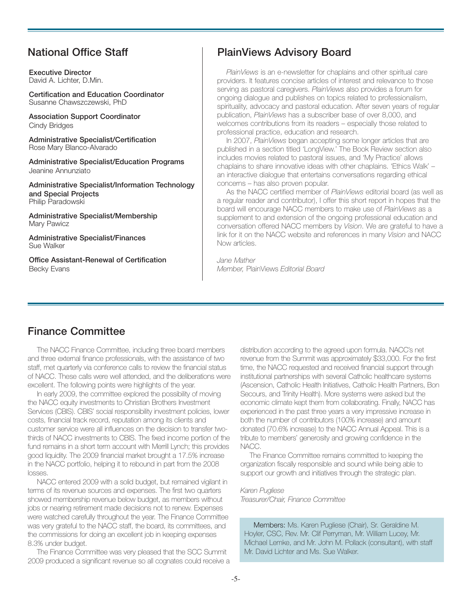## **National Office Staff**

**Executive Director** David A. Lichter, D.Min.

**Certification and Education Coordinator** Susanne Chawszczewski, PhD

**Association Support Coordinator** Cindy Bridges

**Administrative Specialist/Certification** Rose Mary Blanco-Alvarado

**Administrative Specialist/Education Programs** Jeanine Annunziato

**Administrative Specialist/Information Technology and Special Projects** Philip Paradowski

**Administrative Specialist/Membership** Mary Pawicz

**Administrative Specialist/Finances** Sue Walker

**Office Assistant-Renewal of Certification** Becky Evans

## **PlainViews Advisory Board**

*PlainViews* is an e-newsletter for chaplains and other spiritual care providers. It features concise articles of interest and relevance to those serving as pastoral caregivers. *PlainViews* also provides a forum for ongoing dialogue and publishes on topics related to professionalism, spirituality, advocacy and pastoral education. After seven years of regular publication, *PlainViews* has a subscriber base of over 8,000, and welcomes contributions from its readers – especially those related to professional practice, education and research.

In 2007, *PlainViews* began accepting some longer articles that are published in a section titled 'LongView.' The Book Review section also includes movies related to pastoral issues, and 'My Practice' allows chaplains to share innovative ideas with other chaplains. 'Ethics Walk' – an interactive dialogue that entertains conversations regarding ethical concerns – has also proven popular.

As the NACC certified member of *PlainViews* editorial board (as well as a regular reader and contributor), I offer this short report in hopes that the board will encourage NACC members to make use of *PlainViews* as a supplement to and extension of the ongoing professional education and conversation offered NACC members by *Vision*. We are grateful to have a link for it on the NACC website and references in many *Vision* and NACC Now articles.

*Jane Mather Member,* PlainViews *Editorial Board*

## **Finance Committee**

The NACC Finance Committee, including three board members and three external finance professionals, with the assistance of two staff, met quarterly via conference calls to review the financial status of NACC. These calls were well attended, and the deliberations were excellent. The following points were highlights of the year.

In early 2009, the committee explored the possibility of moving the NACC equity investments to Christian Brothers Investment Services (CBIS). CBIS' social responsibility investment policies, lower costs, financial track record, reputation among its clients and customer service were all influences on the decision to transfer twothirds of NACC investments to CBIS. The fixed income portion of the fund remains in a short term account with Merrill Lynch; this provides good liquidity. The 2009 financial market brought a 17.5% increase in the NACC portfolio, helping it to rebound in part from the 2008 losses.

NACC entered 2009 with a solid budget, but remained vigilant in terms of its revenue sources and expenses. The first two quarters showed membership revenue below budget, as members without jobs or nearing retirement made decisions not to renew. Expenses were watched carefully throughout the year. The Finance Committee was very grateful to the NACC staff, the board, its committees, and the commissions for doing an excellent job in keeping expenses 8.3% under budget.

The Finance Committee was very pleased that the SCC Summit 2009 produced a significant revenue so all cognates could receive a

distribution according to the agreed upon formula. NACC's net revenue from the Summit was approximately \$33,000. For the first time, the NACC requested and received financial support through institutional partnerships with several Catholic healthcare systems (Ascension, Catholic Health Initiatives, Catholic Health Partners, Bon Secours, and Trinity Health). More systems were asked but the economic climate kept them from collaborating. Finally, NACC has experienced in the past three years a very impressive increase in both the number of contributors (100% increase) and amount donated (70.6% increase) to the NACC Annual Appeal. This is a tribute to members' generosity and growing confidence in the NACC.

The Finance Committee remains committed to keeping the organization fiscally responsible and sound while being able to support our growth and initiatives through the strategic plan.

*Karen Pugliese Treasurer/Chair, Finance Committee*

Members: Ms. Karen Pugliese (Chair), Sr. Geraldine M. Hoyler, CSC, Rev. Mr. Clif Perryman, Mr. William Lucey, Mr. Michael Lemke, and Mr. John M. Pollack (consultant), with staff Mr. David Lichter and Ms. Sue Walker.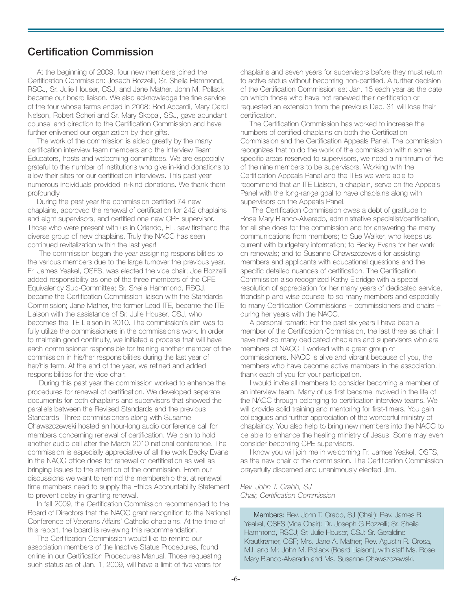### **Certification Commission**

At the beginning of 2009, four new members joined the Certification Commission: Joseph Bozzelli, Sr. Sheila Hammond, RSCJ, Sr. Julie Houser, CSJ, and Jane Mather. John M. Pollack became our board liaison. We also acknowledge the fine service of the four whose terms ended in 2008: Rod Accardi, Mary Carol Nelson, Robert Scheri and Sr. Mary Skopal, SSJ, gave abundant counsel and direction to the Certification Commission and have further enlivened our organization by their gifts.

The work of the commission is aided greatly by the many certification interview team members and the Interview Team Educators, hosts and welcoming committees. We are especially grateful to the number of institutions who give in-kind donations to allow their sites for our certification interviews. This past year numerous individuals provided in-kind donations. We thank them profoundly.

During the past year the commission certified 74 new chaplains, approved the renewal of certification for 242 chaplains and eight supervisors, and certified one new CPE supervisor. Those who were present with us in Orlando, FL, saw firsthand the diverse group of new chaplains. Truly the NACC has seen continued revitalization within the last year!

The commission began the year assigning responsibilities to the various members due to the large turnover the previous year. Fr. James Yeakel, OSFS, was elected the vice chair; Joe Bozzelli added responsibility as one of the three members of the CPE Equivalency Sub-Committee; Sr. Sheila Hammond, RSCJ, became the Certification Commission liaison with the Standards Commission; Jane Mather, the former Lead ITE, became the ITE Liaison with the assistance of Sr. Julie Houser, CSJ, who becomes the ITE Liaison in 2010. The commission's aim was to fully utilize the commissioners in the commission's work. In order to maintain good continuity, we initiated a process that will have each commissioner responsible for training another member of the commission in his/her responsibilities during the last year of her/his term. At the end of the year, we refined and added responsibilities for the vice chair.

During this past year the commission worked to enhance the procedures for renewal of certification. We developed separate documents for both chaplains and supervisors that showed the parallels between the Revised Standards and the previous Standards. Three commissioners along with Susanne Chawszczewski hosted an hour-long audio conference call for members concerning renewal of certification. We plan to hold another audio call after the March 2010 national conference. The commission is especially appreciative of all the work Becky Evans in the NACC office does for renewal of certification as well as bringing issues to the attention of the commission. From our discussions we want to remind the membership that at renewal time members need to supply the Ethics Accountability Statement to prevent delay in granting renewal.

In fall 2009, the Certification Commission recommended to the Board of Directors that the NACC grant recognition to the National Conference of Veterans Affairs' Catholic chaplains. At the time of this report, the board is reviewing this recommendation.

The Certification Commission would like to remind our association members of the Inactive Status Procedures, found online in our Certification Procedures Manual. Those requesting such status as of Jan. 1, 2009, will have a limit of five years for chaplains and seven years for supervisors before they must return to active status without becoming non-certified. A further decision of the Certification Commission set Jan. 15 each year as the date on which those who have not renewed their certification or requested an extension from the previous Dec. 31 will lose their certification.

The Certification Commission has worked to increase the numbers of certified chaplains on both the Certification Commission and the Certification Appeals Panel. The commission recognizes that to do the work of the commission within some specific areas reserved to supervisors, we need a minimum of five of the nine members to be supervisors. Working with the Certification Appeals Panel and the ITEs we were able to recommend that an ITE Liaison, a chaplain, serve on the Appeals Panel with the long-range goal to have chaplains along with supervisors on the Appeals Panel.

The Certification Commission owes a debt of gratitude to Rose Mary Blanco-Alvarado, administrative specialist/certification, for all she does for the commission and for answering the many communications from members; to Sue Walker, who keeps us current with budgetary information; to Becky Evans for her work on renewals; and to Susanne Chawszczewski for assisting members and applicants with educational questions and the specific detailed nuances of certification. The Certification Commission also recognized Kathy Eldridge with a special resolution of appreciation for her many years of dedicated service, friendship and wise counsel to so many members and especially to many Certification Commissions – commissioners and chairs – during her years with the NACC.

A personal remark: For the past six years I have been a member of the Certification Commission, the last three as chair. I have met so many dedicated chaplains and supervisors who are members of NACC. I worked with a great group of commissioners. NACC is alive and vibrant because of you, the members who have become active members in the association. I thank each of you for your participation.

I would invite all members to consider becoming a member of an interview team. Many of us first became involved in the life of the NACC through belonging to certification interview teams. We will provide solid training and mentoring for first-timers. You gain colleagues and further appreciation of the wonderful ministry of chaplaincy. You also help to bring new members into the NACC to be able to enhance the healing ministry of Jesus. Some may even consider becoming CPE supervisors.

I know you will join me in welcoming Fr. James Yeakel, OSFS, as the new chair of the commission. The Certification Commission prayerfully discerned and unanimously elected Jim.

*Rev. John T. Crabb, SJ Chair, Certification Commission*

Members: Rev. John T. Crabb, SJ (Chair); Rev. James R. Yeakel, OSFS (Vice Chair): Dr. Joseph G Bozzelli; Sr. Sheila Hammond, RSCJ; Sr. Julie Houser, CSJ: Sr. Geraldine Krautkramer, OSF; Mrs. Jane A. Mather; Rev. Agustin R. Orosa, M.I. and Mr. John M. Pollack (Board Liaison), with staff Ms. Rose Mary Blanco-Alvarado and Ms. Susanne Chawszczewski.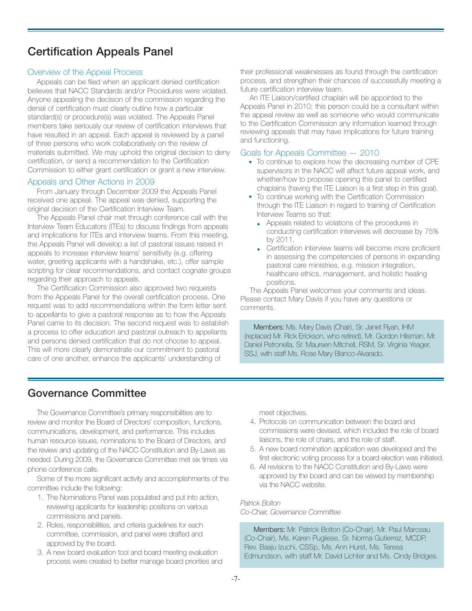## **Certification Appeals Panel**

#### Overview of the Appeal Process

Appeals can be filed when an applicant denied certification believes that NACC Standards and/or Procedures were violated. Anyone appealing the decision of the commission regarding the denial of certification must clearly outline how a particular standard(s) or procedure(s) was violated. The Appeals Panel members take seriously our review of certification interviews that have resulted in an appeal. Each appeal is reviewed by a panel of three persons who work collaboratively on the review of materials submitted. We may uphold the original decision to deny certification, or send a recommendation to the Certification Commission to either grant certification or grant a new interview.

#### Appeals and Other Actions in 2009

From January through December 2009 the Appeals Panel received one appeal. The appeal was denied, supporting the original decision of the Certification Interview Team.

The Appeals Panel chair met through conference call with the Interview Team Educators (ITEs) to discuss findings from appeals and implications for ITEs and interview teams. From this meeting, the Appeals Panel will develop a list of pastoral issues raised in appeals to increase interview teams' sensitivity (e.g. offering water, greeting applicants with a handshake, etc.), offer sample scripting for clear recommendations, and contact cognate groups regarding their approach to appeals.

The Certification Commission also approved two requests from the Appeals Panel for the overall certification process. One request was to add recommendations within the form letter sent to appellants to give a pastoral response as to how the Appeals Panel came to its decision. The second request was to establish a process to offer education and pastoral outreach to appellants and persons denied certification that do not choose to appeal. This will more clearly demonstrate our commitment to pastoral care of one another, enhance the applicants' understanding of

their professional weaknesses as found through the certification process, and strengthen their chances of successfully meeting a future certification interview team.

An ITE Liaison/certified chaplain will be appointed to the Appeals Panel in 2010; this person could be a consultant within the appeal review as well as someone who would communicate to the Certification Commission any information learned through reviewing appeals that may have implications for future training and functioning.

#### Goals for Appeals Committee — 2010

- ▼ To continue to explore how the decreasing number of CPE supervisors in the NACC will affect future appeal work, and whether/how to propose opening this panel to certified chaplains (having the ITE Liaison is a first step in this goal).
- ▼ To continue working with the Certification Commission through the ITE Liaison in regard to training of Certification Interview Teams so that:
	- Appeals related to violations of the procedures in conducting certification interviews will decrease by 75% by 2011.
	- Certification interview teams will become more proficient in assessing the competencies of persons in expanding pastoral care ministries, e.g. mission integration, healthcare ethics, management, and holistic healing positions.

The Appeals Panel welcomes your comments and ideas. Please contact Mary Davis if you have any questions or comments.

Members: Ms. Mary Davis (Chair), Sr. Janet Ryan, IHM (replaced Mr. Rick Erickson, who retired), Mr. Gordon Hilsman, Mr. Daniel Petronella, Sr. Maureen Mitchell, RSM, Sr. Virginia Yeager, SSJ, with staff Ms. Rose Mary Blanco-Alvarado.

## **Governance Committee**

The Governance Committee's primary responsibilities are to review and monitor the Board of Directors' composition, functions, communications, development, and performance. This includes human resource issues, nominations to the Board of Directors, and the review and updating of the NACC Constitution and By-Laws as needed. During 2009, the Governance Committee met six times via phone conference calls.

Some of the more significant activity and accomplishments of the committee include the following:

- 1. The Nominations Panel was populated and put into action, reviewing applicants for leadership positions on various commissions and panels.
- 2. Roles, responsibilities, and criteria guidelines for each committee, commission, and panel were drafted and approved by the board.
- 3. A new board evaluation tool and board meeting evaluation process were created to better manage board priorities and

meet objectives.

- 4. Protocols on communication between the board and commissions were devised, which included the role of board liaisons, the role of chairs, and the role of staff.
- 5. A new board nomination application was developed and the first electronic voting process for a board election was initiated.
- 6. All revisions to the NACC Constitution and By-Laws were approved by the board and can be viewed by membership via the NACC website.

#### *Patrick Bolton Co-Chair, Governance Committee*

Members: Mr. Patrick Bolton (Co-Chair), Mr. Paul Marceau (Co-Chair), Ms. Karen Pugliese, Sr. Norma Gutierrez, MCDP, Rev. Baaju Izuchi, CSSp, Ms. Ann Hurst, Ms. Teresa Edmundson, with staff Mr. David Lichter and Ms. Cindy Bridges.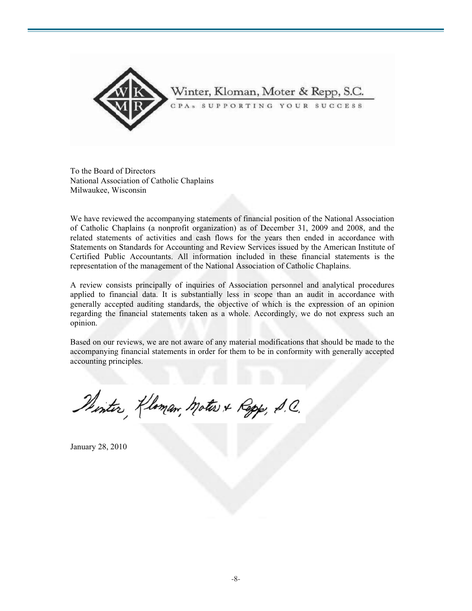

To the Board of Directors National Association of Catholic Chaplains Milwaukee, Wisconsin

We have reviewed the accompanying statements of financial position of the National Association of Catholic Chaplains (a nonprofit organization) as of December 31, 2009 and 2008, and the related statements of activities and cash flows for the years then ended in accordance with Statements on Standards for Accounting and Review Services issued by the American Institute of Certified Public Accountants. All information included in these financial statements is the representation of the management of the National Association of Catholic Chaplains.

A review consists principally of inquiries of Association personnel and analytical procedures applied to financial data. It is substantially less in scope than an audit in accordance with generally accepted auditing standards, the objective of which is the expression of an opinion regarding the financial statements taken as a whole. Accordingly, we do not express such an opinion.

Based on our reviews, we are not aware of any material modifications that should be made to the accompanying financial statements in order for them to be in conformity with generally accepted accounting principles.

Plinter, Kloman, Motes & Repp, S.C.

January 28, 2010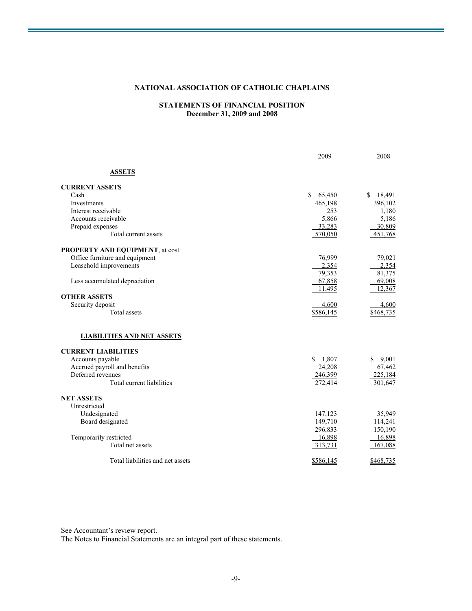#### **NATIONAL ASSOCIATION OF CATHOLIC CHAPLAINS**

#### **STATEMENTS OF FINANCIAL POSITION December 31, 2009 and 2008**

|                                        | 2009                   | 2008         |
|----------------------------------------|------------------------|--------------|
| <b>ASSETS</b>                          |                        |              |
| <b>CURRENT ASSETS</b>                  |                        |              |
| Cash                                   | $\mathbb{S}$<br>65,450 | 18,491<br>\$ |
| Investments                            | 465,198                | 396,102      |
| Interest receivable                    | 253                    | 1,180        |
| Accounts receivable                    | 5,866                  | 5,186        |
| Prepaid expenses                       | 33,283                 | 30,809       |
| Total current assets                   | 570,050                | 451,768      |
| <b>PROPERTY AND EQUIPMENT, at cost</b> |                        |              |
| Office furniture and equipment         | 76,999                 | 79,021       |
| Leasehold improvements                 | 2,354                  | 2,354        |
|                                        | 79,353                 | 81,375       |
| Less accumulated depreciation          | 67,858                 | 69,008       |
|                                        | 11,495                 | 12,367       |
| <b>OTHER ASSETS</b>                    |                        |              |
| Security deposit                       | 4,600                  | 4,600        |
| Total assets                           | \$586,145              | \$468,735    |
| <b>LIABILITIES AND NET ASSETS</b>      |                        |              |
| <b>CURRENT LIABILITIES</b>             |                        |              |
| Accounts payable                       | \$1,807                | \$<br>9,001  |
| Accrued payroll and benefits           | 24,208                 | 67,462       |
| Deferred revenues                      | 246,399                | 225,184      |
| Total current liabilities              | 272,414                | 301,647      |
| <b>NET ASSETS</b>                      |                        |              |
| Unrestricted                           |                        |              |
| Undesignated                           | 147,123                | 35,949       |
| Board designated                       | 149,710                | 114,241      |
|                                        | 296,833                | 150,190      |
| Temporarily restricted                 | 16,898                 | 16,898       |
| Total net assets                       | 313,731                | 167,088      |
| Total liabilities and net assets       | \$586,145              | \$468,735    |
|                                        |                        |              |

See Accountant's review report.

The Notes to Financial Statements are an integral part of these statements.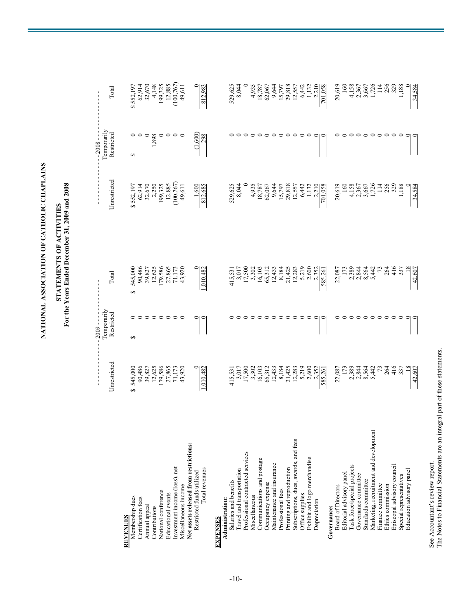| ł                       |  |
|-------------------------|--|
| ことにく てんしょく こうこく にんこうくさい |  |
| こくしくさく                  |  |
|                         |  |

## STATEMENTS OF ACTIVITIES<br>For the Years Ended December 31, 2009 and 2008 **For the Years Ended December 31, 2009 and 2008 STATEMENTS OF ACTIVITIES**

|                                        |                                                                               | $-2009 -$                 |                                                                                                                                                                                                                                                                                                 |                                                                                                                                            | $-2008 -$                 |                                                                                                                          |
|----------------------------------------|-------------------------------------------------------------------------------|---------------------------|-------------------------------------------------------------------------------------------------------------------------------------------------------------------------------------------------------------------------------------------------------------------------------------------------|--------------------------------------------------------------------------------------------------------------------------------------------|---------------------------|--------------------------------------------------------------------------------------------------------------------------|
|                                        | Unrestricted                                                                  | Temporarily<br>Restricted | Total                                                                                                                                                                                                                                                                                           | Unrestricted                                                                                                                               | Temporarily<br>Restricted | Total                                                                                                                    |
| <b>REVENUES</b>                        |                                                                               |                           |                                                                                                                                                                                                                                                                                                 |                                                                                                                                            |                           |                                                                                                                          |
| Membership dues                        | S                                                                             | S                         | 5                                                                                                                                                                                                                                                                                               |                                                                                                                                            | ↮                         |                                                                                                                          |
| Certification fees                     |                                                                               |                           |                                                                                                                                                                                                                                                                                                 |                                                                                                                                            |                           |                                                                                                                          |
| Annual appeal                          |                                                                               |                           |                                                                                                                                                                                                                                                                                                 |                                                                                                                                            |                           |                                                                                                                          |
| Contributions                          |                                                                               |                           |                                                                                                                                                                                                                                                                                                 |                                                                                                                                            | 1,898                     |                                                                                                                          |
| National conference                    | 545,000<br>90,486<br>99,827<br>99,535<br>17,173<br>17,173<br>71,173<br>74,920 |                           | 545,000<br>90,486<br>90,4877<br>92,855<br>12,5865<br>17,173<br>17,173<br>7,173                                                                                                                                                                                                                  | $\begin{array}{l} $552,197\\ 62,914\\ 32,670\\ 32,501\\ 199,325\\ 100,767)\\ 12,885\\ (100,767)\\ (100,767)\\ 49,611 \end{array}$          |                           | $\begin{array}{r} $552,197 \\ 62,914 \\ 32,670 \\ 199,325 \\ 199,325 \\ 12,885 \\ (100,767) \\ (100,767) \\ \end{array}$ |
| Educational events                     |                                                                               |                           |                                                                                                                                                                                                                                                                                                 |                                                                                                                                            |                           |                                                                                                                          |
| Investment income (loss), net          |                                                                               |                           |                                                                                                                                                                                                                                                                                                 |                                                                                                                                            |                           |                                                                                                                          |
| Miscellaneous income                   |                                                                               |                           |                                                                                                                                                                                                                                                                                                 |                                                                                                                                            |                           |                                                                                                                          |
| Net assets released from restrictions: |                                                                               |                           |                                                                                                                                                                                                                                                                                                 |                                                                                                                                            |                           |                                                                                                                          |
| Restricted funds utilized              |                                                                               |                           |                                                                                                                                                                                                                                                                                                 | $\frac{1,600}{812,685}$                                                                                                                    | (1,600)                   |                                                                                                                          |
| Total revenues                         | 1,010,48                                                                      |                           | 0.010,482                                                                                                                                                                                                                                                                                       |                                                                                                                                            | 298                       | 812,983                                                                                                                  |
| <b>EXPENSES</b>                        |                                                                               |                           |                                                                                                                                                                                                                                                                                                 |                                                                                                                                            |                           |                                                                                                                          |
| Administration:                        |                                                                               |                           |                                                                                                                                                                                                                                                                                                 |                                                                                                                                            |                           |                                                                                                                          |
| Salaries and benefits                  | 415,531<br>3,017<br>17,500<br>3,302                                           |                           | 415,531<br>3,017<br>17,500<br>3,302                                                                                                                                                                                                                                                             |                                                                                                                                            |                           |                                                                                                                          |
| Travel and transportation              |                                                                               |                           |                                                                                                                                                                                                                                                                                                 | 529,625<br>8,044                                                                                                                           |                           | 529,625<br>8,044                                                                                                         |
| Professional contracted services       |                                                                               |                           |                                                                                                                                                                                                                                                                                                 |                                                                                                                                            |                           |                                                                                                                          |
| Miscellaneous                          |                                                                               |                           |                                                                                                                                                                                                                                                                                                 |                                                                                                                                            |                           |                                                                                                                          |
| Communications and postage             |                                                                               |                           | 16,103<br>65,312                                                                                                                                                                                                                                                                                | $4,935$ $18,787$ $60,644$ $60,644$ $60,644$ $7,797$ $8,818$ $7,979$ $64,422$ $60,644$ $60,644$ $7,797$ $60,797$ $60,797$ $60,797$ $60,797$ |                           | 4,935<br>18,787<br>18,787<br>6,3064<br>1,132<br>1,132<br>1,132<br>1,132<br>1,132<br>1,132<br>1,132<br>1,132<br>1,132     |
| Occupancy expense                      |                                                                               |                           |                                                                                                                                                                                                                                                                                                 |                                                                                                                                            |                           |                                                                                                                          |
| Maintenance and insurance              |                                                                               |                           | $\begin{array}{r} 12,43,\\ 8,184,\\ 8,142,\\ 2,33,\\ 1,2,38\end{array}$                                                                                                                                                                                                                         |                                                                                                                                            |                           |                                                                                                                          |
| Professional fees                      |                                                                               |                           |                                                                                                                                                                                                                                                                                                 |                                                                                                                                            |                           |                                                                                                                          |
| Printing and reproduction              |                                                                               |                           |                                                                                                                                                                                                                                                                                                 |                                                                                                                                            |                           |                                                                                                                          |
| Subscriptions, dues, awards, and fees  |                                                                               |                           |                                                                                                                                                                                                                                                                                                 |                                                                                                                                            |                           |                                                                                                                          |
| Office supplies                        |                                                                               |                           |                                                                                                                                                                                                                                                                                                 |                                                                                                                                            |                           |                                                                                                                          |
| Exhibit and logo merchandise           |                                                                               |                           |                                                                                                                                                                                                                                                                                                 |                                                                                                                                            |                           |                                                                                                                          |
| Depreciation                           |                                                                               |                           |                                                                                                                                                                                                                                                                                                 |                                                                                                                                            |                           |                                                                                                                          |
|                                        |                                                                               |                           |                                                                                                                                                                                                                                                                                                 |                                                                                                                                            |                           |                                                                                                                          |
| Governance:                            |                                                                               |                           |                                                                                                                                                                                                                                                                                                 |                                                                                                                                            |                           |                                                                                                                          |
| <b>Board of Directors</b>              | 22,087                                                                        |                           | 22,087                                                                                                                                                                                                                                                                                          | 20,619                                                                                                                                     |                           | 20,619                                                                                                                   |
| Editorial advisory panel               | 173                                                                           |                           |                                                                                                                                                                                                                                                                                                 |                                                                                                                                            |                           |                                                                                                                          |
| Task force/special projects            |                                                                               |                           |                                                                                                                                                                                                                                                                                                 |                                                                                                                                            |                           |                                                                                                                          |
| Governance committee                   | 2384<br>2344<br>2444<br>2442                                                  |                           | $\begin{array}{r} 173 \\ 2,384 \\ 2,464 \\ 2,594 \\ 6,642 \\ 7,724 \\ 8,724 \\ 7,844 \\ 8,724 \\ 9,844 \\ 17,184 \\ 18,194 \\ 19,194 \\ 10,194 \\ 13,194 \\ 14,194 \\ 15,194 \\ 16,194 \\ 17,194 \\ 18,194 \\ 19,194 \\ 19,194 \\ 19,194 \\ 19,194 \\ 19,194 \\ 19,194 \\ 19,194 \\ 19,194 \\ $ | $160$ $4,158$ $3,367$ $3,726$ $1,726$                                                                                                      |                           | $160$<br>4,158<br>4,367<br>4,726<br>114<br>114                                                                           |
| Standards committee                    |                                                                               |                           |                                                                                                                                                                                                                                                                                                 |                                                                                                                                            |                           |                                                                                                                          |
| Marketing, recruitment and development |                                                                               |                           |                                                                                                                                                                                                                                                                                                 |                                                                                                                                            |                           |                                                                                                                          |
| Finance committee                      |                                                                               |                           |                                                                                                                                                                                                                                                                                                 | $\frac{1}{2}$                                                                                                                              |                           |                                                                                                                          |
| Ethics commission                      |                                                                               |                           |                                                                                                                                                                                                                                                                                                 | $\frac{56}{325}$                                                                                                                           |                           | 256<br>329                                                                                                               |
| Episcopal advisory council             | 264<br>416<br>337                                                             |                           | $264$<br>$47.5$                                                                                                                                                                                                                                                                                 |                                                                                                                                            |                           |                                                                                                                          |
| Special representatives                |                                                                               |                           |                                                                                                                                                                                                                                                                                                 | 1,188                                                                                                                                      |                           | 1,188                                                                                                                    |
| Education advisory panel               |                                                                               |                           |                                                                                                                                                                                                                                                                                                 |                                                                                                                                            |                           |                                                                                                                          |
|                                        | 42,607                                                                        |                           | 42,607                                                                                                                                                                                                                                                                                          | 34,584                                                                                                                                     |                           | 34,584                                                                                                                   |

See Accountant's review report.

See Accountant's review report.<br>The Notes to Financial Statements are an integral part of these statements. The Notes to Financial Statements are an integral part of these statements.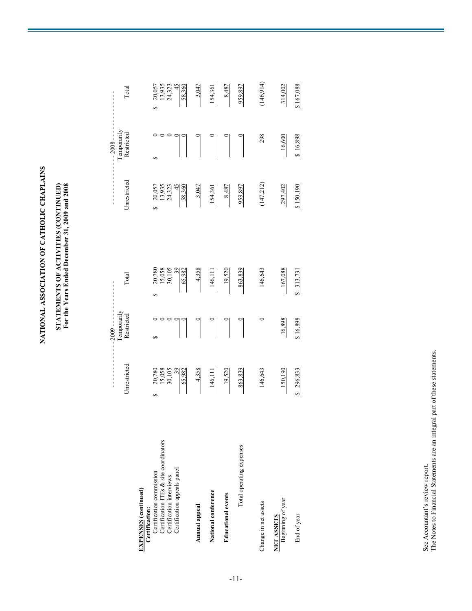NATIONAL ASSOCIATION OF CATHOLIC CHAPLAINS **NATIONAL ASSOCIATION OF CATHOLIC CHAPLAINS**

# STATEMENTS OF ACTIVITIES (CONTINUED)<br>For the Years Ended December 31, 2009 and 2008 **STATEMENTS OF ACTIVITIES (CONTINUED) For the Years Ended December 31, 2009 and 2008**

|                                               |                                      | $2009 - - - -$                   |                                      |                                              | $-2008 - -$ |                                      |
|-----------------------------------------------|--------------------------------------|----------------------------------|--------------------------------------|----------------------------------------------|-------------|--------------------------------------|
|                                               |                                      | Temporarily                      |                                      |                                              | Temporarily |                                      |
|                                               | <b>Jnrestricted</b>                  | Restricted                       | Total                                | Unrestricted                                 | Restricted  | Total                                |
| <b>EXPENSES</b> (continued)<br>Certification: |                                      |                                  |                                      |                                              |             |                                      |
| Certification commission                      | S                                    | s,                               | 5                                    |                                              |             | 5                                    |
| Certification ITEs & site coordinators        |                                      |                                  |                                      |                                              |             |                                      |
| Certification interviews                      |                                      |                                  |                                      |                                              |             |                                      |
| Certification appeals panel                   | 20,780<br>15,058<br>30,105<br>39,982 |                                  | 20,780<br>15,058<br>30,105<br>39,982 | $20,057$<br>13,935<br>24,323<br>45<br>58,360 |             | 20,057<br>13,935<br>24,323<br>58,360 |
| Annual appeal                                 | 4,358                                |                                  | 4,358                                | 3,047                                        |             | $-3.047$                             |
| National conference                           | 146,11                               |                                  | 146,111                              | 154,361                                      |             | 154,361                              |
| <b>Educational</b> events                     | 19,520                               | $\begin{array}{c} \n\end{array}$ | 19,520                               | 8,487                                        |             | 8,487                                |
| Total operating expenses                      | 863,839                              |                                  | 863,839                              | 959,897                                      |             | 959,897                              |
| Change in net assets                          | 146,643                              |                                  | 146,643                              | (147, 212)                                   | 298         | (146, 914)                           |
| NET ASSETS<br>Beginning of year               | 150,190                              | 16,898                           | 167,088                              | 297,402                                      | 16,600      | 314,002                              |
| End of year                                   | 296,83                               | 3 16,898                         | \$ 313,731                           | \$150,190                                    | \$16,898    | \$167,088                            |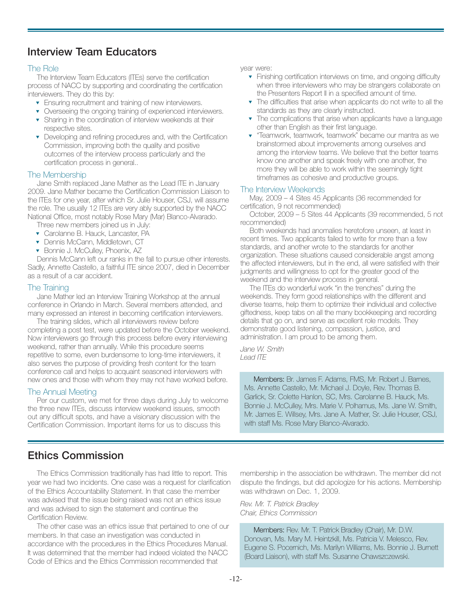## **Interview Team Educators**

#### The Role

The Interview Team Educators (ITEs) serve the certification process of NACC by supporting and coordinating the certification interviewers. They do this by:

- ▼ Ensuring recruitment and training of new interviewers.
- ▼ Overseeing the ongoing training of experienced interviewers.
- ▼ Sharing in the coordination of interview weekends at their respective sites.
- ▼ Developing and refining procedures and, with the Certification Commission, improving both the quality and positive outcomes of the interview process particularly and the certification process in general..

#### The Membership

Jane Smith replaced Jane Mather as the Lead ITE in January 2009. Jane Mather became the Certification Commission Liaison to the ITEs for one year, after which Sr. Julie Houser, CSJ, will assume the role. The usually 12 ITEs are very ably supported by the NACC National Office, most notably Rose Mary (Mar) Blanco-Alvarado.

Three new members joined us in July:

- ▼ Carolanne B. Hauck, Lancaster, PA
- ▼ Dennis McCann, Middletown, CT
- ▼ Bonnie J. McCulley, Phoenix, AZ

Dennis McCann left our ranks in the fall to pursue other interests. Sadly, Annette Castello, a faithful ITE since 2007, died in December as a result of a car accident.

#### The Training

Jane Mather led an Interview Training Workshop at the annual conference in Orlando in March. Several members attended, and many expressed an interest in becoming certification interviewers.

The training slides, which all interviewers review before completing a post test, were updated before the October weekend. Now interviewers go through this process before every interviewing weekend, rather than annually. While this procedure seems repetitive to some, even burdensome to long-time interviewers, it also serves the purpose of providing fresh content for the team conference call and helps to acquaint seasoned interviewers with new ones and those with whom they may not have worked before.

#### The Annual Meeting

Per our custom, we met for three days during July to welcome the three new ITEs, discuss interview weekend issues, smooth out any difficult spots, and have a visionary discussion with the Certification Commission. Important items for us to discuss this

year were:

- ▼ Finishing certification interviews on time, and ongoing difficulty when three interviewers who may be strangers collaborate on the Presenters Report II in a specified amount of time.
- ▼ The difficulties that arise when applicants do not write to all the standards as they are clearly instructed.
- ▼ The complications that arise when applicants have a language other than English as their first language.
- "Teamwork, teamwork, teamwork" became our mantra as we brainstormed about improvements among ourselves and among the interview teams. We believe that the better teams know one another and speak freely with one another, the more they will be able to work within the seemingly tight timeframes as cohesive and productive groups.

#### The Interview Weekends

May, 2009 – 4 Sites 45 Applicants (36 recommended for certification, 9 not recommended)

October, 2009 – 5 Sites 44 Applicants (39 recommended, 5 not recommended)

Both weekends had anomalies heretofore unseen, at least in recent times. Two applicants failed to write for more than a few standards, and another wrote to the standards for another organization. These situations caused considerable angst among the affected interviewers, but in the end, all were satisfied with their judgments and willingness to opt for the greater good of the weekend and the interview process in general.

The ITEs do wonderful work "in the trenches" during the weekends. They form good relationships with the different and diverse teams, help them to optimize their individual and collective giftedness, keep tabs on all the many bookkeeping and recording details that go on, and serve as excellent role models. They demonstrate good listening, compassion, justice, and administration. I am proud to be among them.

*Jane W. Smith Lead ITE*

Members: Br. James F. Adams, FMS, Mr. Robert J. Barnes, Ms. Annette Castello, Mr. Michael J. Doyle, Rev. Thomas B. Garlick, Sr. Colette Hanlon, SC, Mrs. Carolanne B. Hauck, Ms. Bonnie J. McCulley, Mrs. Marie V. Polhamus, Ms. Jane W. Smith, Mr. James E. Willsey, Mrs. Jane A. Mather, Sr. Julie Houser, CSJ, with staff Ms. Rose Mary Blanco-Alvarado.

## **Ethics Commission**

The Ethics Commission traditionally has had little to report. This year we had two incidents. One case was a request for clarification of the Ethics Accountability Statement. In that case the member was advised that the issue being raised was not an ethics issue and was advised to sign the statement and continue the Certification Review.

The other case was an ethics issue that pertained to one of our members. In that case an investigation was conducted in accordance with the procedures in the Ethics Procedures Manual. It was determined that the member had indeed violated the NACC Code of Ethics and the Ethics Commission recommended that

membership in the association be withdrawn. The member did not dispute the findings, but did apologize for his actions. Membership was withdrawn on Dec. 1, 2009.

*Rev. Mr. T. Patrick Bradley Chair, Ethics Commission*

Members: Rev. Mr. T. Patrick Bradley (Chair), Mr. D.W. Donovan, Ms. Mary M. Heintzkill, Ms. Patricia V. Melesco, Rev. Eugene S. Pocernich, Ms. Marilyn Williams, Ms. Bonnie J. Burnett (Board Liaison), with staff Ms. Susanne Chawszczewski.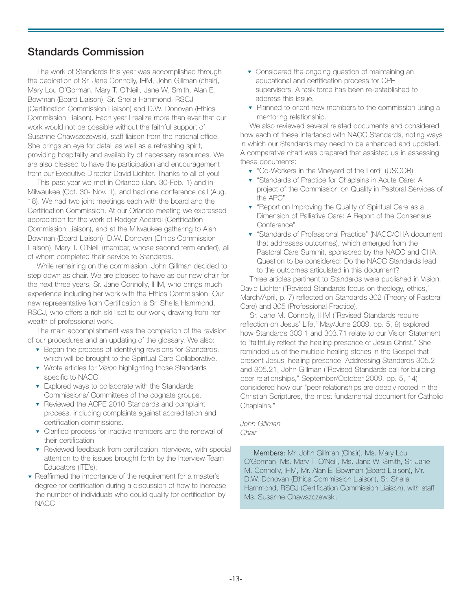## **Standards Commission**

The work of Standards this year was accomplished through the dedication of Sr. Jane Connolly, IHM, John Gillman (chair), Mary Lou O'Gorman, Mary T. O'Neill, Jane W. Smith, Alan E. Bowman (Board Liaison), Sr. Sheila Hammond, RSCJ (Certification Commission Liaison) and D.W. Donovan (Ethics Commission Liaison). Each year I realize more than ever that our work would not be possible without the faithful support of Susanne Chawszczewski, staff liaison from the national office. She brings an eye for detail as well as a refreshing spirit, providing hospitality and availability of necessary resources. We are also blessed to have the participation and encouragement from our Executive Director David Lichter. Thanks to all of you!

This past year we met in Orlando (Jan. 30-Feb. 1) and in Milwaukee (Oct. 30- Nov. 1), and had one conference call (Aug. 18). We had two joint meetings each with the board and the Certification Commission. At our Orlando meeting we expressed appreciation for the work of Rodger Accardi (Certification Commission Liaison), and at the Milwaukee gathering to Alan Bowman (Board Liaison), D.W. Donovan (Ethics Commission Liaison), Mary T. O'Neill (member, whose second term ended), all of whom completed their service to Standards.

While remaining on the commission, John Gillman decided to step down as chair. We are pleased to have as our new chair for the next three years, Sr. Jane Connolly, IHM, who brings much experience including her work with the Ethics Commission. Our new representative from Certification is Sr. Sheila Hammond, RSCJ, who offers a rich skill set to our work, drawing from her wealth of professional work.

The main accomplishment was the completion of the revision of our procedures and an updating of the glossary. We also:

- ▼ Began the process of identifying revisions for Standards, which will be brought to the Spiritual Care Collaborative.
- ▼ Wrote articles for *Vision* highlighting those Standards specific to NACC.
- ▼ Explored ways to collaborate with the Standards Commissions/ Committees of the cognate groups.
- ▼ Reviewed the ACPE 2010 Standards and complaint process, including complaints against accreditation and certification commissions.
- ▼ Clarified process for inactive members and the renewal of their certification.
- ▼ Reviewed feedback from certification interviews, with special attention to the issues brought forth by the Interview Team Educators (ITE's).
- ▼ Reaffirmed the importance of the requirement for a master's degree for certification during a discussion of how to increase the number of individuals who could qualify for certification by NACC.
- ▼ Considered the ongoing question of maintaining an educational and certification process for CPE supervisors. A task force has been re-established to address this issue.
- ▼ Planned to orient new members to the commission using a mentoring relationship.

We also reviewed several related documents and considered how each of these interfaced with NACC Standards, noting ways in which our Standards may need to be enhanced and updated. A comparative chart was prepared that assisted us in assessing these documents:

- ▼ "Co-Workers in the Vineyard of the Lord" (USCCB)
- ▼ "Standards of Practice for Chaplains in Acute Care: A project of the Commission on Quality in Pastoral Services of the APC"
- ▼ "Report on Improving the Quality of Spiritual Care as a Dimension of Palliative Care: A Report of the Consensus Conference"
- "Standards of Professional Practice" (NACC/CHA document that addresses outcomes), which emerged from the Pastoral Care Summit, sponsored by the NACC and CHA. Question to be considered: Do the NACC Standards lead to the outcomes articulated in this document?

Three articles pertinent to Standards were published in Vision. David Lichter ("Revised Standards focus on theology, ethics," March/April, p. 7) reflected on Standards 302 (Theory of Pastoral Care) and 305 (Professional Practice).

Sr. Jane M. Connolly, IHM ("Revised Standards require reflection on Jesus' Life," May/June 2009, pp. 5, 9) explored how Standards 303.1 and 303.71 relate to our Vision Statement to "faithfully reflect the healing presence of Jesus Christ." She reminded us of the multiple healing stories in the Gospel that present Jesus' healing presence. Addressing Standards 305.2 and 305.21, John Gillman ("Revised Standards call for building peer relationships," September/October 2009, pp. 5, 14) considered how our "peer relationships are deeply rooted in the Christian Scriptures, the most fundamental document for Catholic Chaplains."

*John Gillman Chair*

Members: Mr. John Gillman (Chair), Ms. Mary Lou O'Gorman, Ms. Mary T. O'Neill, Ms. Jane W. Smith, Sr. Jane M. Connolly, IHM, Mr. Alan E. Bowman (Board Liaison), Mr. D.W. Donovan (Ethics Commission Liaison), Sr. Sheila Hammond, RSCJ (Certification Commission Liaison), with staff Ms. Susanne Chawszczewski.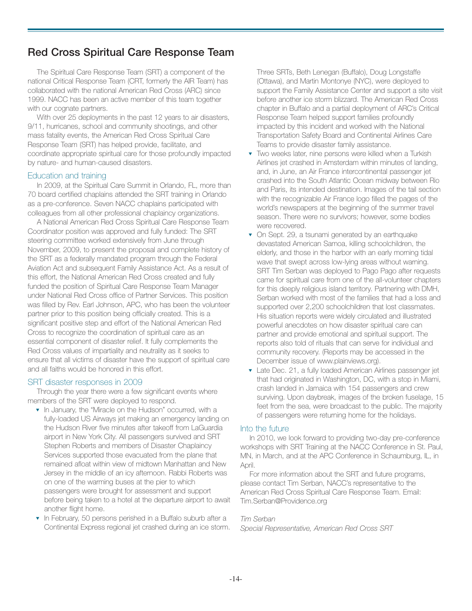## **Red Cross Spiritual Care Response Team**

The Spiritual Care Response Team (SRT) a component of the national Critical Response Team (CRT, formerly the AIR Team) has collaborated with the national American Red Cross (ARC) since 1999. NACC has been an active member of this team together with our cognate partners.

With over 25 deployments in the past 12 years to air disasters, 9/11, hurricanes, school and community shootings, and other mass fatality events, the American Red Cross Spiritual Care Response Team (SRT) has helped provide, facilitate, and coordinate appropriate spiritual care for those profoundly impacted by nature- and human-caused disasters.

#### Education and training

In 2009, at the Spiritual Care Summit in Orlando, FL, more than 70 board certified chaplains attended the SRT training in Orlando as a pre-conference. Seven NACC chaplains participated with colleagues from all other professional chaplaincy organizations.

A National American Red Cross Spiritual Care Response Team Coordinator position was approved and fully funded: The SRT steering committee worked extensively from June through November, 2009, to present the proposal and complete history of the SRT as a federally mandated program through the Federal Aviation Act and subsequent Family Assistance Act. As a result of this effort, the National American Red Cross created and fully funded the position of Spiritual Care Response Team Manager under National Red Cross office of Partner Services. This position was filled by Rev. Earl Johnson, APC, who has been the volunteer partner prior to this position being officially created. This is a significant positive step and effort of the National American Red Cross to recognize the coordination of spiritual care as an essential component of disaster relief. It fully complements the Red Cross values of impartiality and neutrality as it seeks to ensure that all victims of disaster have the support of spiritual care and all faiths would be honored in this effort.

#### SRT disaster responses in 2009

Through the year there were a few significant events where members of the SRT were deployed to respond.

- ▼ In January, the "Miracle on the Hudson" occurred, with a fully-loaded US Airways jet making an emergency landing on the Hudson River five minutes after takeoff from LaGuardia airport in New York City. All passengers survived and SRT Stephen Roberts and members of Disaster Chaplaincy Services supported those evacuated from the plane that remained afloat within view of midtown Manhattan and New Jersey in the middle of an icy afternoon. Rabbi Roberts was on one of the warming buses at the pier to which passengers were brought for assessment and support before being taken to a hotel at the departure airport to await another flight home.
- In February, 50 persons perished in a Buffalo suburb after a Continental Express regional jet crashed during an ice storm.

Three SRTs, Beth Lenegan (Buffalo), Doug Longstaffe (Ottawa), and Martin Montonye (NYC), were deployed to support the Family Assistance Center and support a site visit before another ice storm blizzard. The American Red Cross chapter in Buffalo and a partial deployment of ARC's Critical Response Team helped support families profoundly impacted by this incident and worked with the National Transportation Safety Board and Continental Airlines Care Teams to provide disaster family assistance.

- Two weeks later, nine persons were killed when a Turkish Airlines jet crashed in Amsterdam within minutes of landing, and, in June, an Air France intercontinental passenger jet crashed into the South Atlantic Ocean midway between Rio and Paris, its intended destination. Images of the tail section with the recognizable Air France logo filled the pages of the world's newspapers at the beginning of the summer travel season. There were no survivors; however, some bodies were recovered.
- ▼ On Sept. 29, a tsunami generated by an earthquake devastated American Samoa, killing schoolchildren, the elderly, and those in the harbor with an early morning tidal wave that swept across low-lying areas without warning. SRT Tim Serban was deployed to Pago Pago after requests came for spiritual care from one of the all-volunteer chapters for this deeply religious island territory. Partnering with DMH, Serban worked with most of the families that had a loss and supported over 2,200 schoolchildren that lost classmates. His situation reports were widely circulated and illustrated powerful anecdotes on how disaster spiritual care can partner and provide emotional and spiritual support. The reports also told of rituals that can serve for individual and community recovery. (Reports may be accessed in the December issue of www.plainviews.org).
- ▼ Late Dec. 21, a fully loaded American Airlines passenger jet that had originated in Washington, DC, with a stop in Miami, crash landed in Jamaica with 154 passengers and crew surviving. Upon daybreak, images of the broken fuselage, 15 feet from the sea, were broadcast to the public. The majority of passengers were returning home for the holidays.

#### Into the future

In 2010, we look forward to providing two-day pre-conference workshops with SRT Training at the NACC Conference in St. Paul, MN, in March, and at the APC Conference in Schaumburg, IL, in April.

For more information about the SRT and future programs, please contact Tim Serban, NACC's representative to the American Red Cross Spiritual Care Response Team. Email: Tim.Serban@Providence.org

#### *Tim Serban*

*Special Representative, American Red Cross SRT*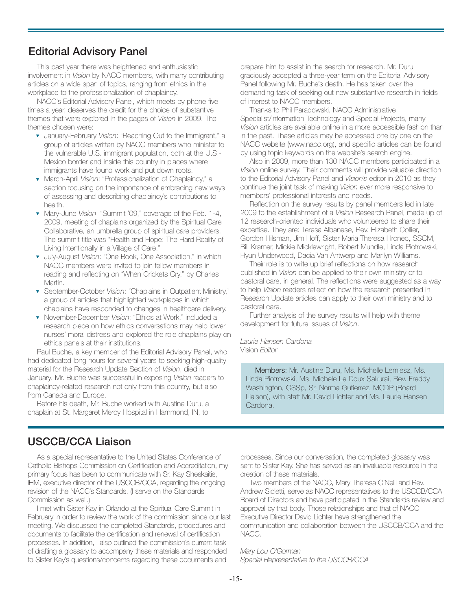## **Editorial Advisory Panel**

This past year there was heightened and enthusiastic involvement in *Vision* by NACC members, with many contributing articles on a wide span of topics, ranging from ethics in the workplace to the professionalization of chaplaincy.

NACC's Editorial Advisory Panel, which meets by phone five times a year, deserves the credit for the choice of substantive themes that were explored in the pages of *Vision* in 2009. The themes chosen were:

- ▼ January-February *Vision*: "Reaching Out to the Immigrant," a group of articles written by NACC members who minister to the vulnerable U.S. immigrant population, both at the U.S.- Mexico border and inside this country in places where immigrants have found work and put down roots.
- ▼ March-April *Vision*: "Professionalization of Chaplaincy," a section focusing on the importance of embracing new ways of assessing and describing chaplaincy's contributions to health.
- ▼ Mary-June *Vision*: "Summit '09," coverage of the Feb. 1-4, 2009, meeting of chaplains organized by the Spiritual Care Collaborative, an umbrella group of spiritual care providers. The summit title was "Health and Hope: The Hard Reality of Living Intentionally in a Village of Care."
- ▼ July-August *Vision*: "One Book, One Association," in which NACC members were invited to join fellow members in reading and reflecting on "When Crickets Cry," by Charles Martin.
- ▼ September-October *Vision*: "Chaplains in Outpatient Ministry," a group of articles that highlighted workplaces in which chaplains have responded to changes in healthcare delivery.
- ▼ November-December *Vision*: "Ethics at Work," included a research piece on how ethics conversations may help lower nurses' moral distress and explored the role chaplains play on ethics panels at their institutions.

Paul Buche, a key member of the Editorial Advisory Panel, who had dedicated long hours for several years to seeking high-quality material for the Research Update Section of *Vision*, died in January. Mr. Buche was successful in exposing *Vision* readers to chaplaincy-related research not only from this country, but also from Canada and Europe.

Before his death, Mr. Buche worked with Austine Duru, a chaplain at St. Margaret Mercy Hospital in Hammond, IN, to prepare him to assist in the search for research. Mr. Duru graciously accepted a three-year term on the Editorial Advisory Panel following Mr. Buche's death. He has taken over the demanding task of seeking out new substantive research in fields of interest to NACC members.

Thanks to Phil Paradowski, NACC Administrative Specialist/Information Technology and Special Projects, many *Vision* articles are available online in a more accessible fashion than in the past. These articles may be accessed one by one on the NACC website (www.nacc.org), and specific articles can be found by using topic keywords on the website's search engine.

Also in 2009, more than 130 NACC members participated in a *Vision* online survey. Their comments will provide valuable direction to the Editorial Advisory Panel and *Vision's* editor in 2010 as they continue the joint task of making *Vision* ever more responsive to members' professional interests and needs.

Reflection on the survey results by panel members led in late 2009 to the establishment of a *Vision* Research Panel, made up of 12 research-oriented individuals who volunteered to share their expertise. They are: Teresa Albanese, Rev. Elizabeth Collier, Gordon Hilsman, Jim Hoff, Sister Maria Theresa Hronec, SSCM, Bill Kramer, Mickie Micklewright, Robert Mundle, Linda Piotrowski, Hyun Underwood, Dacia Van Antwerp and Marilyn Williams.

Their role is to write up brief reflections on how research published in *Vision* can be applied to their own ministry or to pastoral care, in general. The reflections were suggested as a way to help *Vision* readers reflect on how the research presented in Research Update articles can apply to their own ministry and to pastoral care.

Further analysis of the survey results will help with theme development for future issues of *Vision*.

*Laurie Hansen Cardona* Vision *Editor*

Members: Mr. Austine Duru, Ms. Michelle Lemiesz, Ms. Linda Piotrowski, Ms. Michele Le Doux Sakurai, Rev. Freddy Washington, CSSp, Sr. Norma Gutierrez, MCDP (Board Liaison), with staff Mr. David Lichter and Ms. Laurie Hansen Cardona.

## **USCCB/CCA Liaison**

As a special representative to the United States Conference of Catholic Bishops Commission on Certification and Accreditation, my primary focus has been to communicate with Sr. Kay Sheskaitis, IHM, executive director of the USCCB/CCA, regarding the ongoing revision of the NACC's Standards. (I serve on the Standards Commission as well.)

I met with Sister Kay in Orlando at the Spiritual Care Summit in February in order to review the work of the commission since our last meeting. We discussed the completed Standards, procedures and documents to facilitate the certification and renewal of certification processes. In addition, I also outlined the commission's current task of drafting a glossary to accompany these materials and responded to Sister Kay's questions/concerns regarding these documents and

processes. Since our conversation, the completed glossary was sent to Sister Kay. She has served as an invaluable resource in the creation of these materials.

Two members of the NACC, Mary Theresa O'Neill and Rev. Andrew Sioletti, serve as NACC representatives to the USCCB/CCA Board of Directors and have participated in the Standards review and approval by that body. Those relationships and that of NACC Executive Director David Lichter have strengthened the communication and collaboration between the USCCB/CCA and the NACC.

*Mary Lou O'Gorman Special Representative to the USCCB/CCA*